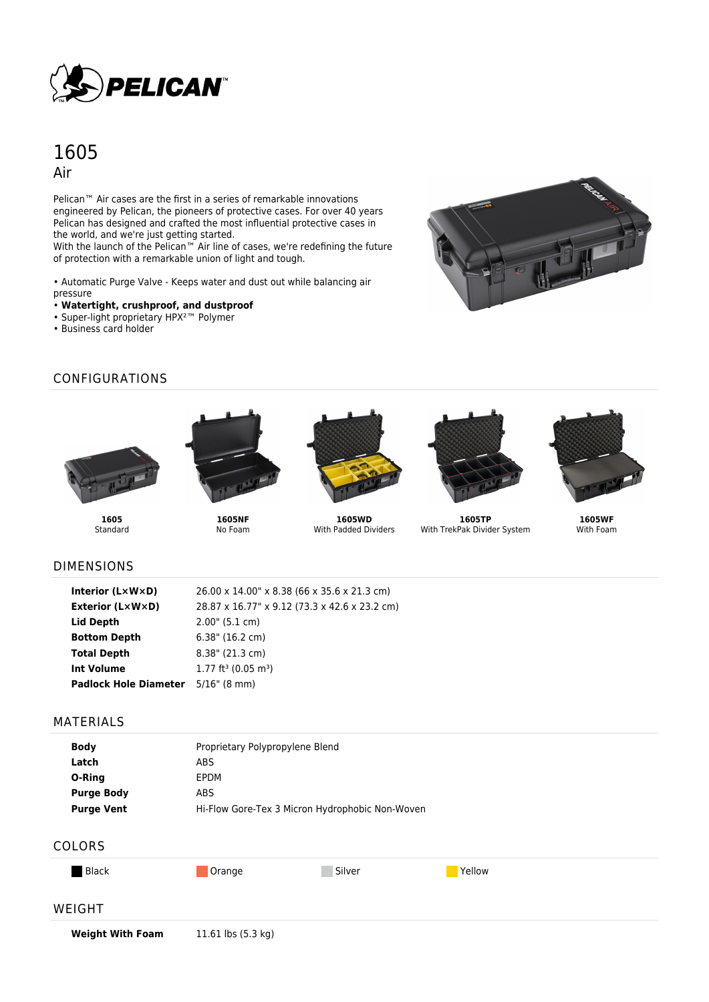

# 1605 Air

Pelican<sup>™</sup> Air cases are the first in a series of remarkable innovations engineered by Pelican, the pioneers of protective cases. For over 40 years Pelican has designed and crafted the most influential protective cases in the world, and we're just getting started.

With the launch of the Pelican™ Air line of cases, we're redefining the future of protection with a remarkable union of light and tough.

• Automatic Purge Valve - Keeps water and dust out while balancing air pressure

- **Watertight, crushproof, and dustproof**
- Super-light proprietary HPX²™ Polymer
- Business card holder



# CONFIGURATIONS





**1605 Standard** 

**1605NF** No Foam



**1605WD** With Padded Dividers



**1605TP** With TrekPak Divider System



**1605WF** With Foam

#### DIMENSIONS

| Interior $(L \times W \times D)$          | 26.00 x 14.00" x 8.38 (66 x 35.6 x 21.3 cm)   |
|-------------------------------------------|-----------------------------------------------|
| <b>Exterior (L×W×D)</b>                   | 28.87 x 16.77" x 9.12 (73.3 x 42.6 x 23.2 cm) |
| <b>Lid Depth</b>                          | 2.00" (5.1 cm)                                |
| <b>Bottom Depth</b>                       | $6.38$ " (16.2 cm)                            |
| <b>Total Depth</b>                        | $8.38$ " (21.3 cm)                            |
| <b>Int Volume</b>                         | $1.77$ ft <sup>3</sup> (0.05 m <sup>3</sup> ) |
| <b>Padlock Hole Diameter</b> 5/16" (8 mm) |                                               |

#### MATERIALS

| <b>Body</b>       | Proprietary Polypropylene Blend                 |
|-------------------|-------------------------------------------------|
| Latch             | ABS                                             |
| O-Ring            | <b>FPDM</b>                                     |
| <b>Purge Body</b> | ABS.                                            |
| <b>Purge Vent</b> | Hi-Flow Gore-Tex 3 Micron Hydrophobic Non-Woven |
|                   |                                                 |

### COLORS

| Black |
|-------|
|-------|

**Black Orange Construction Construction Construction Construction Construction Construction Construction Construction Construction Construction Construction Construction Construction Construction Construction Construction** 

#### WEIGHT